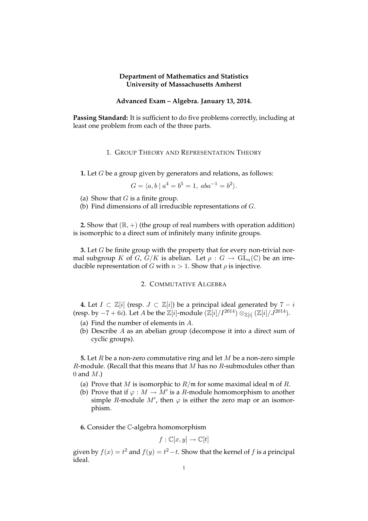### **Department of Mathematics and Statistics University of Massachusetts Amherst**

## **Advanced Exam – Algebra. January 13, 2014.**

**Passing Standard:** It is sufficient to do five problems correctly, including at least one problem from each of the three parts.

#### 1. GROUP THEORY AND REPRESENTATION THEORY

**1.** Let G be a group given by generators and relations, as follows:

 $G = \langle a, b \mid a^4 = b^5 = 1, aba^{-1} = b^2 \rangle.$ 

(a) Show that  $G$  is a finite group.

(b) Find dimensions of all irreducible representations of G.

**2.** Show that  $(\mathbb{R}, +)$  (the group of real numbers with operation addition) is isomorphic to a direct sum of infinitely many infinite groups.

**3.** Let G be finite group with the property that for every non-trivial normal subgroup K of G,  $G/K$  is abelian. Let  $\rho: G \to GL_n(\mathbb{C})$  be an irreducible representation of G with  $n > 1$ . Show that  $\rho$  is injective.

# 2. COMMUTATIVE ALGEBRA

**4.** Let  $I \subset \mathbb{Z}[i]$  (resp.  $J \subset \mathbb{Z}[i]$ ) be a principal ideal generated by  $7 - i$ (resp. by  $-7+6i$ ). Let A be the  $\mathbb{Z}[i]$ -module  $(\mathbb{Z}[i]/I^{2014}) \otimes_{\mathbb{Z}[i]} (\mathbb{Z}[i]/J^{2014})$ .

- (a) Find the number of elements in A.
- (b) Describe A as an abelian group (decompose it into a direct sum of cyclic groups).

**5.** Let R be a non-zero commutative ring and let M be a non-zero simple  $R$ -module. (Recall that this means that  $M$  has no  $R$ -submodules other than 0 and  $M$ .)

- (a) Prove that M is isomorphic to  $R/\mathfrak{m}$  for some maximal ideal  $\mathfrak{m}$  of R.
- (b) Prove that if  $\varphi : M \to M'$  is a R-module homomorphism to another simple R-module M', then  $\varphi$  is either the zero map or an isomorphism.

**6.** Consider the C-algebra homomorphism

$$
f: \mathbb{C}[x, y] \to \mathbb{C}[t]
$$

given by  $f(x) = t^2$  and  $f(y) = t^2 - t$ . Show that the kernel of f is a principal ideal.